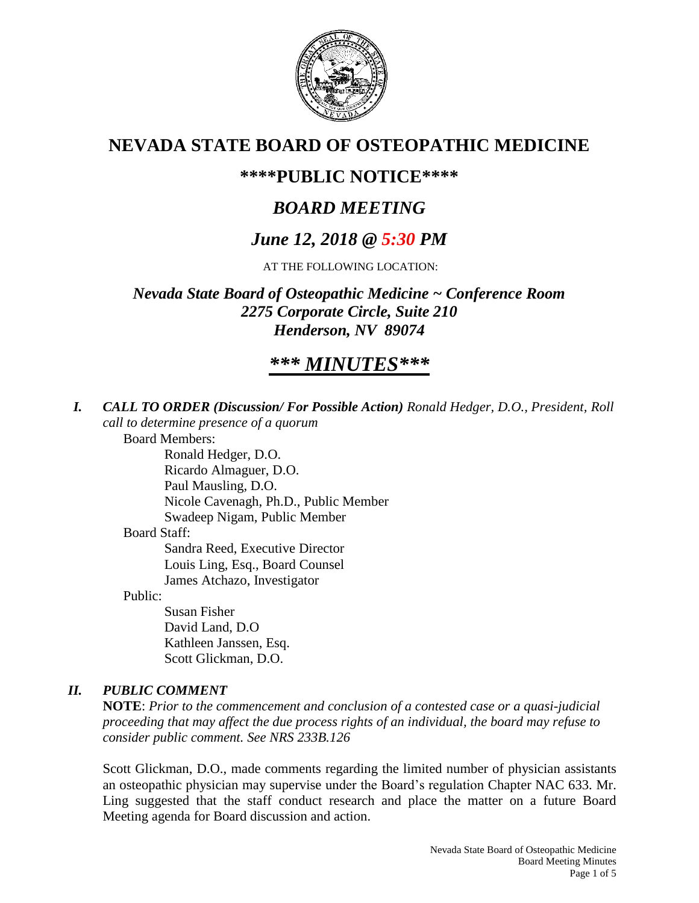

## **NEVADA STATE BOARD OF OSTEOPATHIC MEDICINE**

## **\*\*\*\*PUBLIC NOTICE\*\*\*\***

# *BOARD MEETING*

## *June 12, 2018 @ 5:30 PM*

AT THE FOLLOWING LOCATION:

*Nevada State Board of Osteopathic Medicine ~ Conference Room 2275 Corporate Circle, Suite 210 Henderson, NV 89074*

# *\*\*\* MINUTES\*\*\**

*I. CALL TO ORDER (Discussion/ For Possible Action) Ronald Hedger, D.O., President, Roll call to determine presence of a quorum*

Board Members:

Ronald Hedger, D.O. Ricardo Almaguer, D.O. Paul Mausling, D.O. Nicole Cavenagh, Ph.D., Public Member Swadeep Nigam, Public Member Board Staff: Sandra Reed, Executive Director Louis Ling, Esq., Board Counsel

James Atchazo, Investigator

Public:

Susan Fisher David Land, D.O Kathleen Janssen, Esq. Scott Glickman, D.O.

### *II. PUBLIC COMMENT*

**NOTE**: *Prior to the commencement and conclusion of a contested case or a quasi-judicial proceeding that may affect the due process rights of an individual, the board may refuse to consider public comment. See NRS 233B.126*

Scott Glickman, D.O., made comments regarding the limited number of physician assistants an osteopathic physician may supervise under the Board's regulation Chapter NAC 633. Mr. Ling suggested that the staff conduct research and place the matter on a future Board Meeting agenda for Board discussion and action.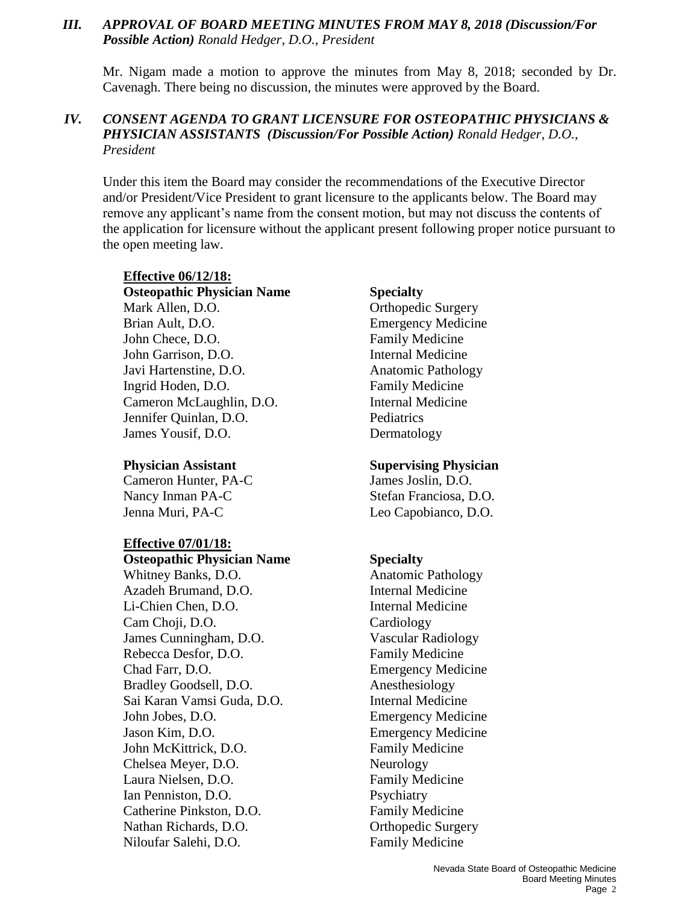### *III. APPROVAL OF BOARD MEETING MINUTES FROM MAY 8, 2018 (Discussion/For Possible Action) Ronald Hedger, D.O., President*

Mr. Nigam made a motion to approve the minutes from May 8, 2018; seconded by Dr. Cavenagh. There being no discussion, the minutes were approved by the Board.

### *IV. CONSENT AGENDA TO GRANT LICENSURE FOR OSTEOPATHIC PHYSICIANS & PHYSICIAN ASSISTANTS (Discussion/For Possible Action) Ronald Hedger, D.O., President*

Under this item the Board may consider the recommendations of the Executive Director and/or President/Vice President to grant licensure to the applicants below. The Board may remove any applicant's name from the consent motion, but may not discuss the contents of the application for licensure without the applicant present following proper notice pursuant to the open meeting law.

## **Effective 06/12/18:**

**Osteopathic Physician Name Specialty** Mark Allen, D.O. **Orthopedic Surgery** Brian Ault, D.O. Emergency Medicine John Chece, D.O. **Family Medicine** John Garrison, D.O. Internal Medicine Javi Hartenstine, D.O. Anatomic Pathology Ingrid Hoden, D.O. Family Medicine Cameron McLaughlin, D.O. Internal Medicine Jennifer Quinlan, D.O. Pediatrics James Yousif, D.O. Dermatology

Cameron Hunter, PA-C James Joslin, D.O. Nancy Inman PA-C Stefan Franciosa, D.O. Jenna Muri, PA-C Leo Capobianco, D.O.

#### **Effective 07/01/18:**

**Osteopathic Physician Name Specialty** Whitney Banks, D.O. **Anatomic Pathology** Azadeh Brumand, D.O. Internal Medicine Li-Chien Chen, D.O. **Internal Medicine** Cam Choji, D.O. Cardiology James Cunningham, D.O. Vascular Radiology Rebecca Desfor, D.O. Family Medicine Chad Farr, D.O. Emergency Medicine Bradley Goodsell, D.O. Anesthesiology Sai Karan Vamsi Guda, D.O. Internal Medicine John Jobes, D.O. Emergency Medicine Jason Kim, D.O. Emergency Medicine John McKittrick, D.O. Family Medicine Chelsea Meyer, D.O. Neurology Laura Nielsen, D.O. Family Medicine Ian Penniston, D.O. Psychiatry Catherine Pinkston, D.O. Family Medicine Nathan Richards, D.O. **Canadian Control** Control Curgery Niloufar Salehi, D.O. Family Medicine

#### **Physician Assistant Supervising Physician**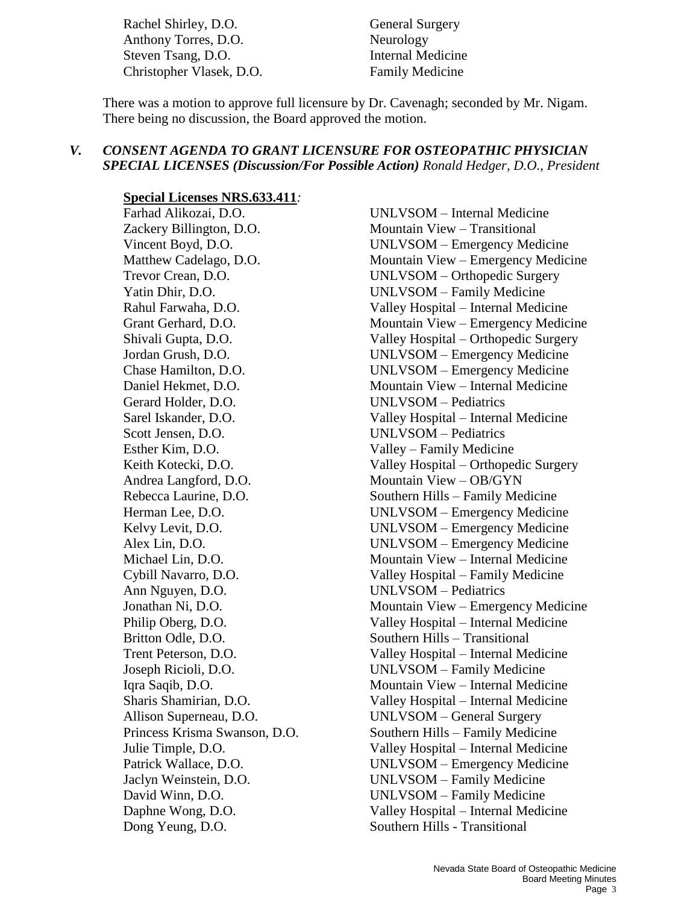Rachel Shirley, D.O. General Surgery Anthony Torres, D.O. Neurology Steven Tsang, D.O. Internal Medicine Christopher Vlasek, D.O. Family Medicine

There was a motion to approve full licensure by Dr. Cavenagh; seconded by Mr. Nigam. There being no discussion, the Board approved the motion.

#### *V. CONSENT AGENDA TO GRANT LICENSURE FOR OSTEOPATHIC PHYSICIAN SPECIAL LICENSES (Discussion/For Possible Action) Ronald Hedger, D.O., President*

**Special Licenses NRS.633.411***:*

Zackery Billington, D.O. Mountain View – Transitional Gerard Holder, D.O. UNLVSOM – Pediatrics Scott Jensen, D.O. UNLVSOM – Pediatrics Esther Kim, D.O. Valley – Family Medicine Andrea Langford, D.O. Mountain View – OB/GYN Ann Nguyen, D.O. UNLVSOM – Pediatrics Britton Odle, D.O. Southern Hills – Transitional Dong Yeung, D.O. Southern Hills - Transitional

Farhad Alikozai, D.O. UNLVSOM – Internal Medicine Vincent Boyd, D.O. UNLVSOM – Emergency Medicine Matthew Cadelago, D.O. Mountain View – Emergency Medicine Trevor Crean, D.O. UNLVSOM – Orthopedic Surgery Yatin Dhir, D.O. UNLVSOM – Family Medicine Rahul Farwaha, D.O. Valley Hospital – Internal Medicine Grant Gerhard, D.O. Mountain View – Emergency Medicine Shivali Gupta, D.O. Valley Hospital – Orthopedic Surgery Jordan Grush, D.O. UNLVSOM – Emergency Medicine Chase Hamilton, D.O. UNLVSOM – Emergency Medicine Daniel Hekmet, D.O. Mountain View – Internal Medicine Sarel Iskander, D.O. Valley Hospital – Internal Medicine Keith Kotecki, D.O. Valley Hospital – Orthopedic Surgery Rebecca Laurine, D.O. Southern Hills – Family Medicine Herman Lee, D.O. UNLVSOM – Emergency Medicine Kelvy Levit, D.O. UNLVSOM – Emergency Medicine Alex Lin, D.O. UNLVSOM – Emergency Medicine Michael Lin, D.O. Mountain View – Internal Medicine Cybill Navarro, D.O. Valley Hospital – Family Medicine Jonathan Ni, D.O. Mountain View – Emergency Medicine Philip Oberg, D.O. Valley Hospital – Internal Medicine Trent Peterson, D.O. Valley Hospital – Internal Medicine Joseph Ricioli, D.O. UNLVSOM – Family Medicine Iqra Saqib, D.O. Mountain View – Internal Medicine Sharis Shamirian, D.O. Valley Hospital – Internal Medicine Allison Superneau, D.O. UNLVSOM – General Surgery Princess Krisma Swanson, D.O. Southern Hills – Family Medicine Julie Timple, D.O. Valley Hospital – Internal Medicine Patrick Wallace, D.O. UNLVSOM – Emergency Medicine Jaclyn Weinstein, D.O. UNLVSOM – Family Medicine David Winn, D.O. UNLVSOM – Family Medicine Daphne Wong, D.O. Valley Hospital – Internal Medicine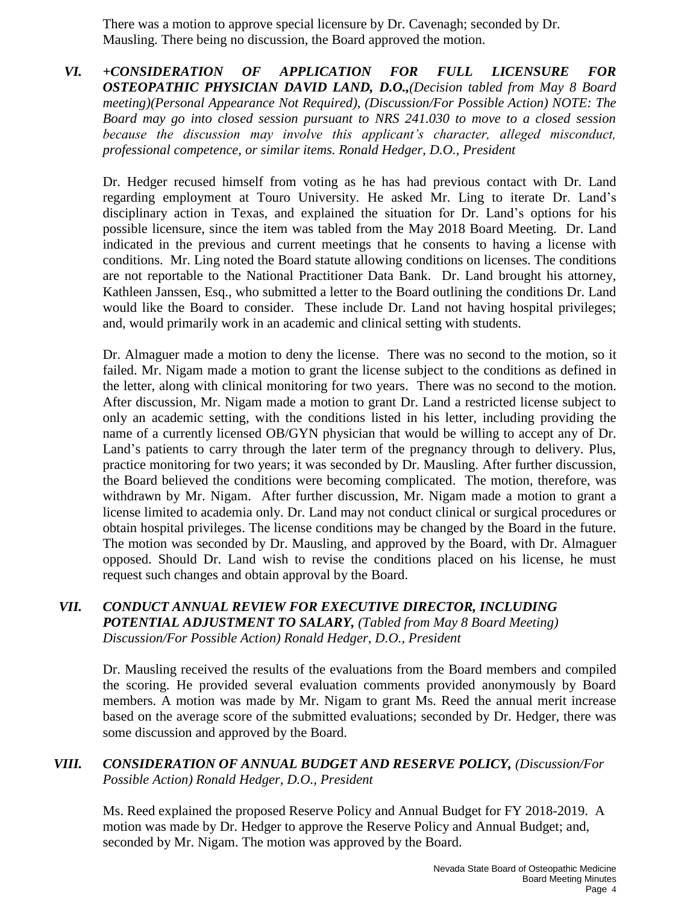There was a motion to approve special licensure by Dr. Cavenagh; seconded by Dr. Mausling. There being no discussion, the Board approved the motion.

*VI. +CONSIDERATION OF APPLICATION FOR FULL LICENSURE FOR OSTEOPATHIC PHYSICIAN DAVID LAND, D.O.,(Decision tabled from May 8 Board meeting)(Personal Appearance Not Required), (Discussion/For Possible Action) NOTE: The Board may go into closed session pursuant to NRS 241.030 to move to a closed session because the discussion may involve this applicant's character, alleged misconduct, professional competence, or similar items. Ronald Hedger, D.O., President* 

Dr. Hedger recused himself from voting as he has had previous contact with Dr. Land regarding employment at Touro University. He asked Mr. Ling to iterate Dr. Land's disciplinary action in Texas, and explained the situation for Dr. Land's options for his possible licensure, since the item was tabled from the May 2018 Board Meeting. Dr. Land indicated in the previous and current meetings that he consents to having a license with conditions. Mr. Ling noted the Board statute allowing conditions on licenses. The conditions are not reportable to the National Practitioner Data Bank. Dr. Land brought his attorney, Kathleen Janssen, Esq., who submitted a letter to the Board outlining the conditions Dr. Land would like the Board to consider. These include Dr. Land not having hospital privileges; and, would primarily work in an academic and clinical setting with students.

Dr. Almaguer made a motion to deny the license. There was no second to the motion, so it failed. Mr. Nigam made a motion to grant the license subject to the conditions as defined in the letter, along with clinical monitoring for two years. There was no second to the motion. After discussion, Mr. Nigam made a motion to grant Dr. Land a restricted license subject to only an academic setting, with the conditions listed in his letter, including providing the name of a currently licensed OB/GYN physician that would be willing to accept any of Dr. Land's patients to carry through the later term of the pregnancy through to delivery. Plus, practice monitoring for two years; it was seconded by Dr. Mausling. After further discussion, the Board believed the conditions were becoming complicated. The motion, therefore, was withdrawn by Mr. Nigam. After further discussion, Mr. Nigam made a motion to grant a license limited to academia only. Dr. Land may not conduct clinical or surgical procedures or obtain hospital privileges. The license conditions may be changed by the Board in the future. The motion was seconded by Dr. Mausling, and approved by the Board, with Dr. Almaguer opposed. Should Dr. Land wish to revise the conditions placed on his license, he must request such changes and obtain approval by the Board.

#### *VII. CONDUCT ANNUAL REVIEW FOR EXECUTIVE DIRECTOR, INCLUDING POTENTIAL ADJUSTMENT TO SALARY, (Tabled from May 8 Board Meeting) Discussion/For Possible Action) Ronald Hedger, D.O., President*

Dr. Mausling received the results of the evaluations from the Board members and compiled the scoring. He provided several evaluation comments provided anonymously by Board members. A motion was made by Mr. Nigam to grant Ms. Reed the annual merit increase based on the average score of the submitted evaluations; seconded by Dr. Hedger, there was some discussion and approved by the Board.

#### *VIII. CONSIDERATION OF ANNUAL BUDGET AND RESERVE POLICY, (Discussion/For Possible Action) Ronald Hedger, D.O., President*

Ms. Reed explained the proposed Reserve Policy and Annual Budget for FY 2018-2019. A motion was made by Dr. Hedger to approve the Reserve Policy and Annual Budget; and, seconded by Mr. Nigam. The motion was approved by the Board.